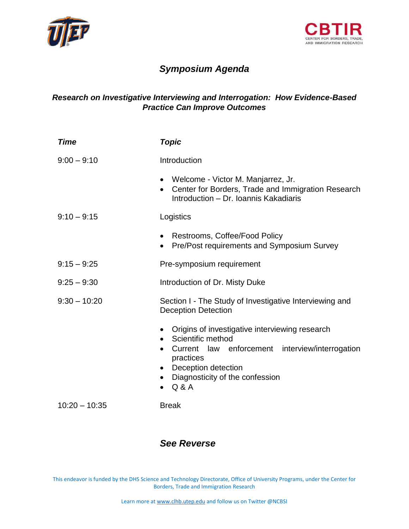



## *Symposium Agenda*

## *Research on Investigative Interviewing and Interrogation: How Evidence-Based Practice Can Improve Outcomes*

| <b>Time</b>     | <b>Topic</b>                                                                                                                                                                                                                       |
|-----------------|------------------------------------------------------------------------------------------------------------------------------------------------------------------------------------------------------------------------------------|
| $9:00 - 9:10$   | Introduction                                                                                                                                                                                                                       |
|                 | • Welcome - Victor M. Manjarrez, Jr.<br>• Center for Borders, Trade and Immigration Research<br>Introduction - Dr. Ioannis Kakadiaris                                                                                              |
| $9:10 - 9:15$   | Logistics                                                                                                                                                                                                                          |
|                 | Restrooms, Coffee/Food Policy<br>Pre/Post requirements and Symposium Survey<br>$\bullet$                                                                                                                                           |
| $9:15 - 9:25$   | Pre-symposium requirement                                                                                                                                                                                                          |
| $9:25 - 9:30$   | Introduction of Dr. Misty Duke                                                                                                                                                                                                     |
| $9:30 - 10:20$  | Section I - The Study of Investigative Interviewing and<br><b>Deception Detection</b>                                                                                                                                              |
|                 | Origins of investigative interviewing research<br>$\bullet$<br>Scientific method<br>$\bullet$<br>Current law enforcement interview/interrogation<br>practices<br>• Deception detection<br>Diagnosticity of the confession<br>Q & A |
| $10:20 - 10:35$ | <b>Break</b>                                                                                                                                                                                                                       |

## *See Reverse*

This endeavor is funded by the DHS Science and Technology Directorate, Office of University Programs, under the Center for Borders, Trade and Immigration Research